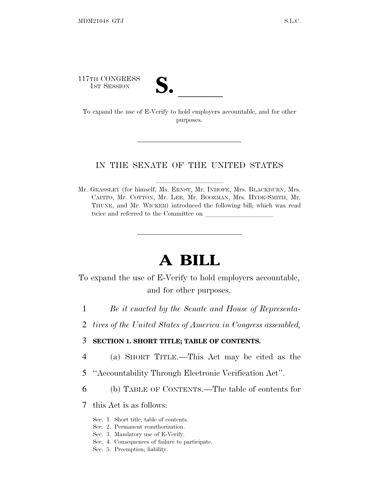117TH CONGRESS

17TH CONGRESS<br>
1ST SESSION<br>
To expand the use of E-Verify to hold employers accountable, and for other purposes.

## IN THE SENATE OF THE UNITED STATES

Mr. GRASSLEY (for himself, Ms. ERNST, Mr. INHOFE, Mrs. BLACKBURN, Mrs. CAPITO, Mr. COTTON, Mr. LEE, Mr. BOOZMAN, Mrs. HYDE-SMITH, Mr. THUNE, and Mr. WICKER) introduced the following bill; which was read twice and referred to the Committee on

# **A BILL**

To expand the use of E-Verify to hold employers accountable, and for other purposes.

- 1 *Be it enacted by the Senate and House of Representa-*
- 2 *tives of the United States of America in Congress assembled,*

# 3 **SECTION 1. SHORT TITLE; TABLE OF CONTENTS.**

- 4 (a) SHORT TITLE.—This Act may be cited as the
- 5 ''Accountability Through Electronic Verification Act''.
- 6 (b) TABLE OF CONTENTS.—The table of contents for
- 7 this Act is as follows:
	- Sec. 1. Short title; table of contents.
	- Sec. 2. Permanent reauthorization.
	- Sec. 3. Mandatory use of E-Verify.
	- Sec. 4. Consequences of failure to participate.
	- Sec. 5. Preemption; liability.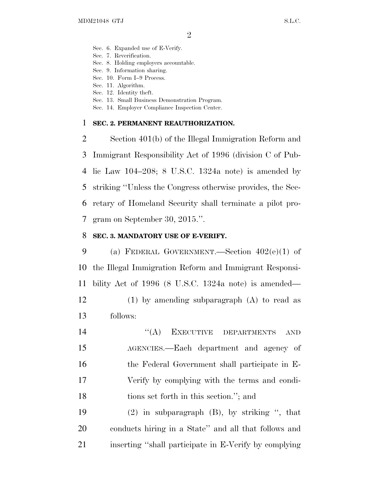- Sec. 6. Expanded use of E-Verify.
- Sec. 7. Reverification.
- Sec. 8. Holding employers accountable.
- Sec. 9. Information sharing.
- Sec. 10. Form I–9 Process.
- Sec. 11. Algorithm.
- Sec. 12. Identity theft.
- Sec. 13. Small Business Demonstration Program.
- Sec. 14. Employer Compliance Inspection Center.

#### **SEC. 2. PERMANENT REAUTHORIZATION.**

 Section 401(b) of the Illegal Immigration Reform and Immigrant Responsibility Act of 1996 (division C of Pub- lic Law 104–208; 8 U.S.C. 1324a note) is amended by striking ''Unless the Congress otherwise provides, the Sec- retary of Homeland Security shall terminate a pilot pro-gram on September 30, 2015.''.

#### **SEC. 3. MANDATORY USE OF E-VERIFY.**

 (a) FEDERAL GOVERNMENT.—Section 402(e)(1) of the Illegal Immigration Reform and Immigrant Responsi- bility Act of 1996 (8 U.S.C. 1324a note) is amended— (1) by amending subparagraph (A) to read as follows:

14 "(A) EXECUTIVE DEPARTMENTS AND AGENCIES.—Each department and agency of the Federal Government shall participate in E- Verify by complying with the terms and condi-tions set forth in this section.''; and

 (2) in subparagraph (B), by striking '', that conducts hiring in a State'' and all that follows and inserting ''shall participate in E-Verify by complying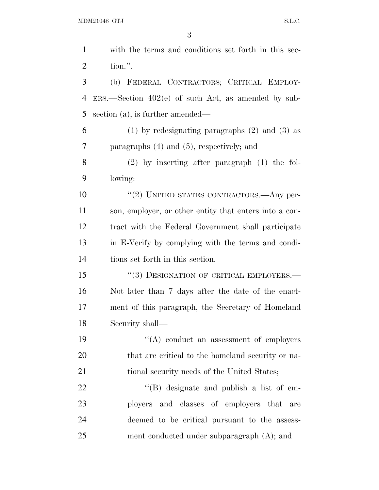| with the terms and conditions set forth in this sec-   |
|--------------------------------------------------------|
| tion.".                                                |
| (b) FEDERAL CONTRACTORS; CRITICAL EMPLOY-              |
| $ERS.$ Section 402(e) of such Act, as amended by sub-  |
| section $(a)$ , is further amended—                    |
| $(1)$ by redesignating paragraphs $(2)$ and $(3)$ as   |
| paragraphs $(4)$ and $(5)$ , respectively; and         |
| $(2)$ by inserting after paragraph $(1)$ the fol-      |
| lowing:                                                |
| "(2) UNITED STATES CONTRACTORS. Any per-               |
| son, employer, or other entity that enters into a con- |
| tract with the Federal Government shall participate    |
| in E-Verify by complying with the terms and condi-     |
| tions set forth in this section.                       |
| "(3) DESIGNATION OF CRITICAL EMPLOYERS.—               |
| Not later than 7 days after the date of the enact-     |
| ment of this paragraph, the Secretary of Homeland      |
| Security shall-                                        |
| $\lq\lq$ conduct an assessment of employers            |
| that are critical to the homeland security or na-      |
| tional security needs of the United States;            |
| $\lq\lq (B)$ designate and publish a list of em-       |
| ployers and classes of employers that are              |
| deemed to be critical pursuant to the assess-          |
| ment conducted under subparagraph (A); and             |
|                                                        |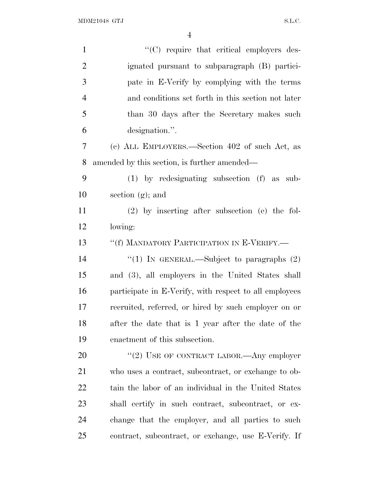| $\mathbf{1}$   | "(C) require that critical employers des-              |
|----------------|--------------------------------------------------------|
| $\overline{2}$ | ignated pursuant to subparagraph (B) partici-          |
| 3              | pate in E-Verify by complying with the terms           |
| $\overline{4}$ | and conditions set forth in this section not later     |
| 5              | than 30 days after the Secretary makes such            |
| 6              | designation.".                                         |
| 7              | (c) ALL EMPLOYERS.—Section 402 of such Act, as         |
| 8              | amended by this section, is further amended—           |
| 9              | $(1)$ by redesignating subsection $(f)$ as sub-        |
| 10             | section $(g)$ ; and                                    |
| 11             | (2) by inserting after subsection (e) the fol-         |
| 12             | lowing:                                                |
| 13             | "(f) MANDATORY PARTICIPATION IN E-VERIFY.—             |
| 14             | "(1) IN GENERAL.—Subject to paragraphs $(2)$           |
| 15             | and (3), all employers in the United States shall      |
| 16             | participate in E-Verify, with respect to all employees |
| 17             | recruited, referred, or hired by such employer on or   |
| 18             | after the date that is 1 year after the date of the    |
| 19             | enactment of this subsection.                          |
| 20             | "(2) USE OF CONTRACT LABOR.—Any employer               |
| 21             | who uses a contract, subcontract, or exchange to ob-   |
| 22             | tain the labor of an individual in the United States   |
| 23             | shall certify in such contract, subcontract, or ex-    |
| 24             | change that the employer, and all parties to such      |
| 25             | contract, subcontract, or exchange, use E-Verify. If   |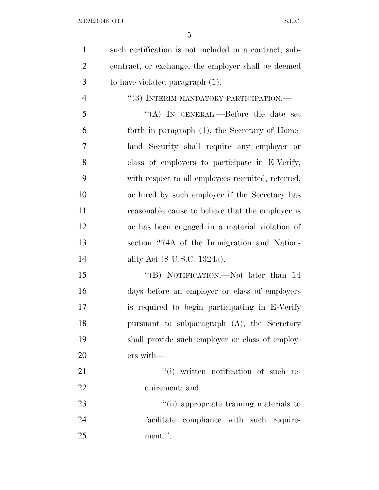ment.''.

| $\mathbf{1}$   | such certification is not included in a contract, sub- |
|----------------|--------------------------------------------------------|
| $\overline{2}$ | contract, or exchange, the employer shall be deemed    |
| 3              | to have violated paragraph (1).                        |
| $\overline{4}$ | "(3) INTERIM MANDATORY PARTICIPATION.—                 |
| 5              | "(A) IN GENERAL.—Before the date set                   |
| 6              | forth in paragraph (1), the Secretary of Home-         |
| 7              | land Security shall require any employer or            |
| 8              | class of employers to participate in E-Verify,         |
| 9              | with respect to all employees recruited, referred,     |
| 10             | or hired by such employer if the Secretary has         |
| 11             | reasonable cause to believe that the employer is       |
| 12             | or has been engaged in a material violation of         |
| 13             | section 274A of the Immigration and Nation-            |
| 14             | ality Act (8 U.S.C. 1324a).                            |
| 15             | "(B) NOTIFICATION.—Not later than 14                   |
| 16             | days before an employer or class of employers          |
| 17             | is required to begin participating in E-Verify         |
| 18             | pursuant to subparagraph (A), the Secretary            |
| 19             | shall provide such employer or class of employ-        |
| 20             | ers with-                                              |
| 21             | "(i) written notification of such re-                  |
| 22             | quirement; and                                         |
| 23             | "(ii) appropriate training materials to                |
| 24             | facilitate compliance with such require-               |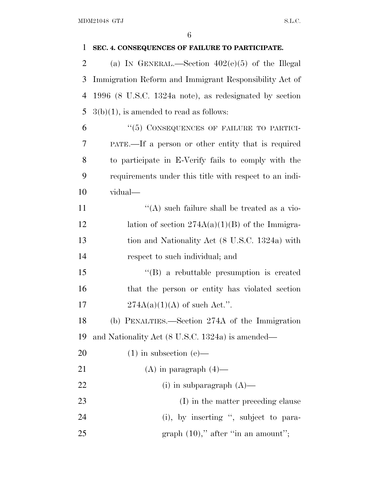| 1              | SEC. 4. CONSEQUENCES OF FAILURE TO PARTICIPATE.        |
|----------------|--------------------------------------------------------|
| $\overline{2}$ | (a) IN GENERAL.—Section $402(e)(5)$ of the Illegal     |
| 3              | Immigration Reform and Immigrant Responsibility Act of |
| 4              | 1996 (8 U.S.C. 1324a note), as redesignated by section |
| 5              | $3(b)(1)$ , is amended to read as follows:             |
| 6              | "(5) CONSEQUENCES OF FAILURE TO PARTICI-               |
| 7              | PATE.—If a person or other entity that is required     |
| 8              | to participate in E-Verify fails to comply with the    |
| 9              | requirements under this title with respect to an indi- |
| 10             | vidual-                                                |
| 11             | "(A) such failure shall be treated as a vio-           |
| 12             | lation of section $274A(a)(1)(B)$ of the Immigra-      |
| 13             | tion and Nationality Act (8 U.S.C. 1324a) with         |
| 14             | respect to such individual; and                        |
| 15             | $\lq\lq (B)$ a rebuttable presumption is created       |
| 16             | that the person or entity has violated section         |
| 17             | $274A(a)(1)(A)$ of such Act.".                         |
| 18             | (b) PENALTIES.—Section 274A of the Immigration         |
| 19             | and Nationality Act (8 U.S.C. 1324a) is amended—       |
| 20             | $(1)$ in subsection $(e)$ —                            |
| 21             | (A) in paragraph $(4)$ —                               |
| 22             | (i) in subparagraph $(A)$ —                            |
| 23             | (I) in the matter preceding clause                     |
| 24             | (i), by inserting ", subject to para-                  |
| 25             | graph $(10)$ ," after "in an amount";                  |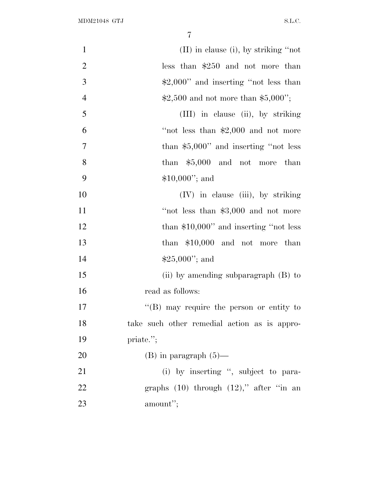| $\mathbf{1}$   | $(II)$ in clause (i), by striking "not           |
|----------------|--------------------------------------------------|
| $\overline{2}$ | less than $$250$ and not more than               |
| 3              | $\text{\$2,000''}$ and inserting "not less than  |
| $\overline{4}$ | $$2,500$ and not more than \$5,000";             |
| 5              | (III) in clause (ii), by striking                |
| 6              | "not less than $$2,000$ and not more             |
| 7              | than $$5,000"$ and inserting "not less           |
| 8              | than $$5,000$ and not more than                  |
| 9              | $$10,000$ "; and                                 |
| 10             | (IV) in clause (iii), by striking                |
| 11             | "not less than $$3,000$ and not more             |
| 12             | than $$10,000$ " and inserting "not less         |
| 13             | than $$10,000$ and not more than                 |
| 14             | $$25,000$ "; and                                 |
| 15             | (ii) by amending subparagraph $(B)$ to           |
| 16             | read as follows:                                 |
| 17             | $\lq\lq (B)$ may require the person or entity to |
| 18             | take such other remedial action as is appro-     |
| 19             | priate.";                                        |
| 20             | $(B)$ in paragraph $(5)$ —                       |
| 21             | (i) by inserting ", subject to para-             |
| 22             | graphs $(10)$ through $(12)$ ," after "in an     |
| 23             | amount";                                         |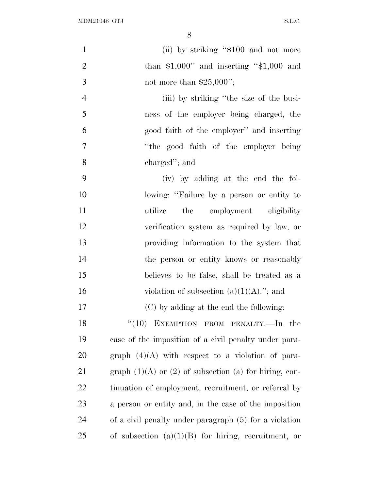| $\mathbf{1}$   | (ii) by striking "\$100 and not more                         |
|----------------|--------------------------------------------------------------|
| $\overline{2}$ | than $$1,000"$ and inserting " $$1,000$ and                  |
| 3              | not more than $$25,000$ ";                                   |
| $\overline{4}$ | (iii) by striking "the size of the busi-                     |
| 5              | ness of the employer being charged, the                      |
| 6              | good faith of the employer" and inserting                    |
| $\overline{7}$ | "the good faith of the employer being"                       |
| 8              | charged"; and                                                |
| 9              | (iv) by adding at the end the fol-                           |
| 10             | lowing: "Failure by a person or entity to                    |
| 11             | the<br>employment eligibility<br>utilize                     |
| 12             | verification system as required by law, or                   |
| 13             | providing information to the system that                     |
| 14             | the person or entity knows or reasonably                     |
| 15             | believes to be false, shall be treated as a                  |
| 16             | violation of subsection $(a)(1)(A)$ ."; and                  |
| 17             | (C) by adding at the end the following:                      |
| 18             | $``(10)$ EXEMPTION FROM PENALTY.—In the                      |
| 19             | case of the imposition of a civil penalty under para-        |
| 20             | graph $(4)(A)$ with respect to a violation of para-          |
| 21             | graph $(1)(A)$ or $(2)$ of subsection $(a)$ for hiring, con- |
| 22             | tinuation of employment, recruitment, or referral by         |
| 23             | a person or entity and, in the case of the imposition        |
| 24             | of a civil penalty under paragraph (5) for a violation       |
| 25             | of subsection $(a)(1)(B)$ for hiring, recruitment, or        |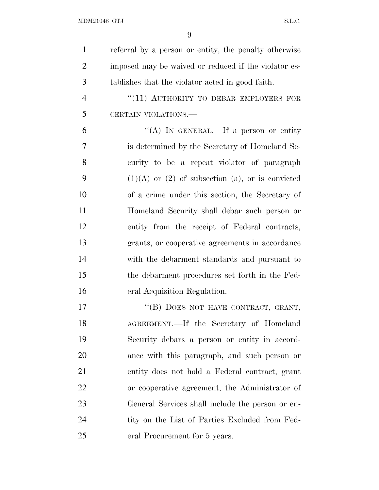| $\mathbf{1}$   | referral by a person or entity, the penalty otherwise   |
|----------------|---------------------------------------------------------|
| $\overline{2}$ | imposed may be waived or reduced if the violator es-    |
| 3              | tablishes that the violator acted in good faith.        |
| $\overline{4}$ | "(11) AUTHORITY TO DEBAR EMPLOYERS FOR                  |
| 5              | CERTAIN VIOLATIONS.                                     |
| 6              | "(A) IN GENERAL.—If a person or entity                  |
| $\overline{7}$ | is determined by the Secretary of Homeland Se-          |
| 8              | curity to be a repeat violator of paragraph             |
| 9              | $(1)(A)$ or $(2)$ of subsection $(a)$ , or is convicted |
| 10             | of a crime under this section, the Secretary of         |
| 11             | Homeland Security shall debar such person or            |
| 12             | entity from the receipt of Federal contracts,           |
| 13             | grants, or cooperative agreements in accordance         |
| 14             | with the debarment standards and pursuant to            |
| 15             | the debarment procedures set forth in the Fed-          |
| 16             | eral Acquisition Regulation.                            |
| 17             | "(B) DOES NOT HAVE CONTRACT, GRANT,                     |
| 18             | AGREEMENT.—If the Secretary of Homeland                 |
| 19             | Security debars a person or entity in accord-           |
| 20             | ance with this paragraph, and such person or            |
| 21             | entity does not hold a Federal contract, grant          |
| 22             | or cooperative agreement, the Administrator of          |
| 23             | General Services shall include the person or en-        |
| 24             | tity on the List of Parties Excluded from Fed-          |
| 25             | eral Procurement for 5 years.                           |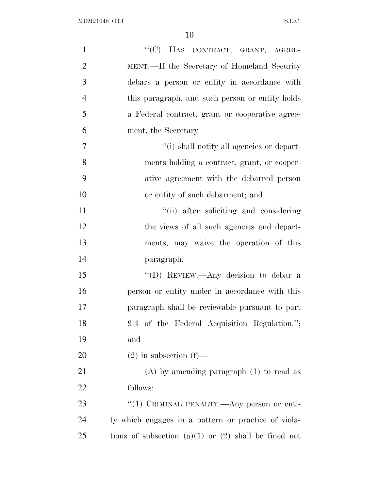| $\mathbf{1}$   | "(C) HAS CONTRACT, GRANT, AGREE-                         |
|----------------|----------------------------------------------------------|
| $\overline{2}$ | MENT.—If the Secretary of Homeland Security              |
| 3              | debars a person or entity in accordance with             |
| $\overline{4}$ | this paragraph, and such person or entity holds          |
| 5              | a Federal contract, grant or cooperative agree-          |
| 6              | ment, the Secretary—                                     |
| 7              | "(i) shall notify all agencies or depart-                |
| 8              | ments holding a contract, grant, or cooper-              |
| 9              | ative agreement with the debarred person                 |
| 10             | or entity of such debarment; and                         |
| 11             | "(ii) after soliciting and considering                   |
| 12             | the views of all such agencies and depart-               |
| 13             | ments, may waive the operation of this                   |
| 14             | paragraph.                                               |
| 15             | "(D) REVIEW.—Any decision to debar a                     |
| 16             | person or entity under in accordance with this           |
| 17             | paragraph shall be reviewable pursuant to part           |
| 18             | 9.4 of the Federal Acquisition Regulation.";             |
| 19             | and                                                      |
| 20             | $(2)$ in subsection $(f)$ —                              |
| 21             | $(A)$ by amending paragraph $(1)$ to read as             |
| 22             | follows:                                                 |
| 23             | "(1) CRIMINAL PENALTY.—Any person or enti-               |
| 24             | ty which engages in a pattern or practice of viola-      |
| 25             | tions of subsection $(a)(1)$ or $(2)$ shall be fined not |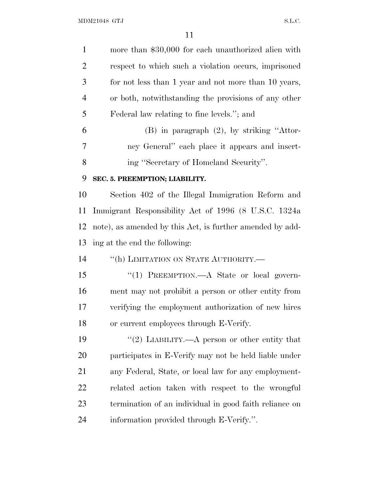| $\mathbf{1}$   | more than \$30,000 for each unauthorized alien with       |
|----------------|-----------------------------------------------------------|
| $\overline{2}$ | respect to which such a violation occurs, imprisoned      |
| 3              | for not less than 1 year and not more than 10 years,      |
| $\overline{4}$ | or both, notwithstanding the provisions of any other      |
| 5              | Federal law relating to fine levels."; and                |
| 6              | $(B)$ in paragraph $(2)$ , by striking "Attor-            |
| 7              | ney General" each place it appears and insert-            |
| 8              | ing "Secretary of Homeland Security".                     |
| 9              | SEC. 5. PREEMPTION; LIABILITY.                            |
| 10             | Section 402 of the Illegal Immigration Reform and         |
| 11             | Immigrant Responsibility Act of 1996 (8 U.S.C. 1324a)     |
| 12             | note), as amended by this Act, is further amended by add- |
| 13             | ing at the end the following:                             |
| 14             | "(h) LIMITATION ON STATE AUTHORITY.-                      |
| 15             | "(1) PREEMPTION.—A State or local govern-                 |
| 16             | ment may not prohibit a person or other entity from       |
| 17             | verifying the employment authorization of new hires       |
| 18             | or current employees through E-Verify.                    |
| 19             | "(2) LIABILITY.—A person or other entity that             |
| 20             | participates in E-Verify may not be held liable under     |
| 21             | any Federal, State, or local law for any employment-      |
| 22             | related action taken with respect to the wrongful         |
| 23             | termination of an individual in good faith reliance on    |
| 24             | information provided through E-Verify.".                  |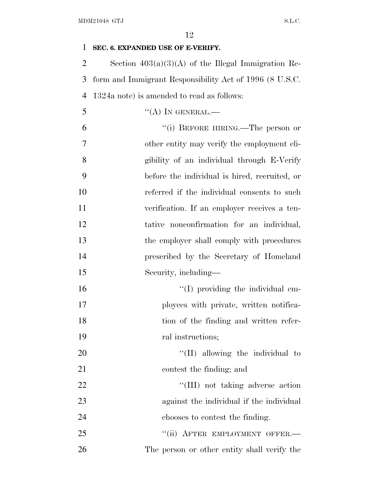# **SEC. 6. EXPANDED USE OF E-VERIFY.**

 Section 403(a)(3)(A) of the Illegal Immigration Re- form and Immigrant Responsibility Act of 1996 (8 U.S.C. 1324a note) is amended to read as follows:

"(A) In GENERAL.—

 ''(i) BEFORE HIRING.—The person or other entity may verify the employment eli- gibility of an individual through E-Verify before the individual is hired, recruited, or referred if the individual consents to such verification. If an employer receives a ten- tative nonconfirmation for an individual, 13 the employer shall comply with procedures prescribed by the Secretary of Homeland Security, including—

 $\frac{1}{10}$  providing the individual em- ployees with private, written notifica- tion of the finding and written refer-ral instructions;

20  $\frac{1}{20}$  allowing the individual to contest the finding; and

22 ''(III) not taking adverse action against the individual if the individual chooses to contest the finding.

25 "(ii) AFTER EMPLOYMENT OFFER.— The person or other entity shall verify the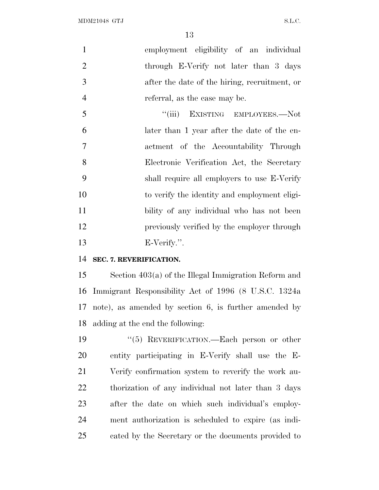employment eligibility of an individual through E-Verify not later than 3 days after the date of the hiring, recruitment, or referral, as the case may be.

5 "(iii) EXISTING EMPLOYEES.—Not later than 1 year after the date of the en- actment of the Accountability Through Electronic Verification Act, the Secretary shall require all employers to use E-Verify to verify the identity and employment eligi- bility of any individual who has not been previously verified by the employer through E-Verify.''.

# **SEC. 7. REVERIFICATION.**

 Section 403(a) of the Illegal Immigration Reform and Immigrant Responsibility Act of 1996 (8 U.S.C. 1324a note), as amended by section 6, is further amended by adding at the end the following:

 ''(5) REVERIFICATION.—Each person or other entity participating in E-Verify shall use the E- Verify confirmation system to reverify the work au- thorization of any individual not later than 3 days after the date on which such individual's employ- ment authorization is scheduled to expire (as indi-cated by the Secretary or the documents provided to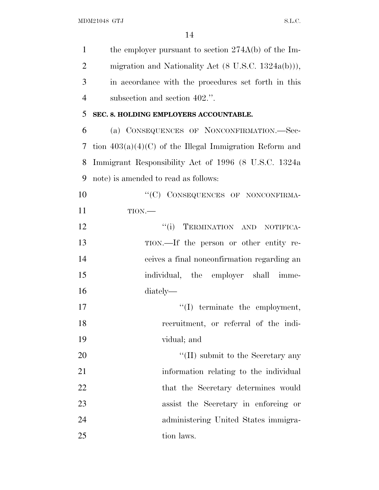| $\mathbf{1}$   | the employer pursuant to section $274A(b)$ of the Im-          |
|----------------|----------------------------------------------------------------|
| $\overline{2}$ | migration and Nationality Act $(8 \text{ U.S.C. } 1324a(b))),$ |
| 3              | in accordance with the procedures set forth in this            |
| $\overline{4}$ | subsection and section 402.".                                  |
| 5              | SEC. 8. HOLDING EMPLOYERS ACCOUNTABLE.                         |
| 6              | (a) CONSEQUENCES OF NONCONFIRMATION.—Sec-                      |
| 7              | tion $403(a)(4)(C)$ of the Illegal Immigration Reform and      |
| 8              | Immigrant Responsibility Act of 1996 (8 U.S.C. 1324a)          |
| 9              | note) is amended to read as follows:                           |
| 10             | "(C) CONSEQUENCES OF NONCONFIRMA-                              |
| 11             | $TION$ .                                                       |
| 12             | ``(i)<br>TERMINATION AND NOTIFICA-                             |
| 13             | TION.—If the person or other entity re-                        |
| 14             | ceives a final nonconfirmation regarding an                    |
| 15             | individual, the employer shall imme-                           |
| 16             | diately—                                                       |
| 17             | $\lq\lq$ terminate the employment,                             |
| 18             | recruitment, or referral of the indi-                          |
| 19             | vidual; and                                                    |
| 20             | $\lq\lq$ (II) submit to the Secretary any                      |
| 21             | information relating to the individual                         |
| 22             | that the Secretary determines would                            |
| 23             | assist the Secretary in enforcing or                           |
| 24             | administering United States immigra-                           |
| 25             | tion laws.                                                     |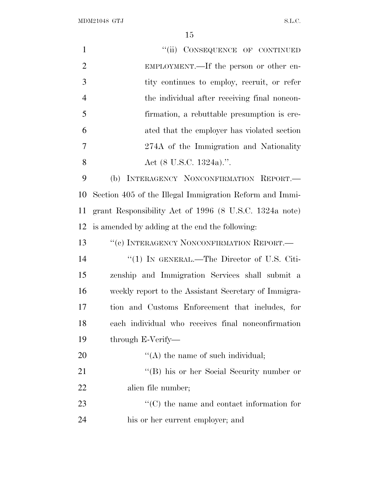$\rm MDM21048\;\; GTJ \qquad \qquad S.L.C.$ 

| $\mathbf{1}$   | "(ii) CONSEQUENCE OF CONTINUED                          |
|----------------|---------------------------------------------------------|
| $\overline{2}$ | EMPLOYMENT.—If the person or other en-                  |
| 3              | tity continues to employ, recruit, or refer             |
| $\overline{4}$ | the individual after receiving final noncon-            |
| 5              | firmation, a rebuttable presumption is cre-             |
| 6              | ated that the employer has violated section             |
| 7              | 274A of the Immigration and Nationality                 |
| 8              | Act $(8 \text{ U.S.C. } 1324a)$ .".                     |
| 9              | (b) INTERAGENCY NONCONFIRMATION REPORT.                 |
| 10             | Section 405 of the Illegal Immigration Reform and Immi- |
| 11             | grant Responsibility Act of 1996 (8 U.S.C. 1324a note)  |
| 12             | is amended by adding at the end the following:          |
| 13             | "(c) INTERAGENCY NONCONFIRMATION REPORT.-               |
| 14             | " $(1)$ IN GENERAL.—The Director of U.S. Citi-          |
| 15             | zenship and Immigration Services shall submit a         |
| 16             | weekly report to the Assistant Secretary of Immigra-    |
| 17             | tion and Customs Enforcement that includes, for         |
| 18             | each individual who receives final nonconfirmation      |
| 19             | through E-Verify—                                       |
| 20             | $\lq\lq$ the name of such individual;                   |
| 21             | "(B) his or her Social Security number or               |
| 22             | alien file number;                                      |
| 23             | $\lq\lq$ (C) the name and contact information for       |
| 24             | his or her current employer; and                        |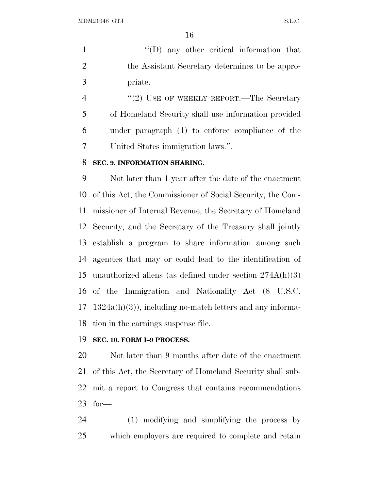1  $\langle (D)$  any other critical information that the Assistant Secretary determines to be appro-priate.

4 "(2) USE OF WEEKLY REPORT.—The Secretary of Homeland Security shall use information provided under paragraph (1) to enforce compliance of the United States immigration laws.''.

## **SEC. 9. INFORMATION SHARING.**

 Not later than 1 year after the date of the enactment of this Act, the Commissioner of Social Security, the Com- missioner of Internal Revenue, the Secretary of Homeland Security, and the Secretary of the Treasury shall jointly establish a program to share information among such agencies that may or could lead to the identification of unauthorized aliens (as defined under section 274A(h)(3) of the Immigration and Nationality Act (8 U.S.C. 1324a(h)(3)), including no-match letters and any informa-tion in the earnings suspense file.

## **SEC. 10. FORM I–9 PROCESS.**

 Not later than 9 months after date of the enactment of this Act, the Secretary of Homeland Security shall sub- mit a report to Congress that contains recommendations for—

 (1) modifying and simplifying the process by which employers are required to complete and retain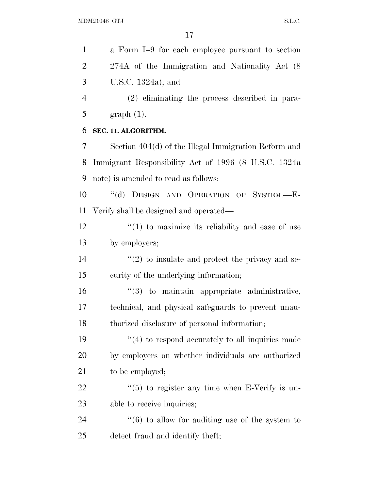a Form I–9 for each employee pursuant to section 274A of the Immigration and Nationality Act (8 U.S.C. 1324a); and (2) eliminating the process described in para- graph (1). **SEC. 11. ALGORITHM.** Section 404(d) of the Illegal Immigration Reform and Immigrant Responsibility Act of 1996 (8 U.S.C. 1324a note) is amended to read as follows: ''(d) DESIGN AND OPERATION OF SYSTEM.—E- Verify shall be designed and operated—  $\frac{12}{2}$  ''(1) to maximize its reliability and ease of use by employers;  $\frac{1}{2}$  to insulate and protect the privacy and se- curity of the underlying information;  $\frac{16}{3}$  to maintain appropriate administrative, technical, and physical safeguards to prevent unau- thorized disclosure of personal information;  $\frac{1}{2}$  (4) to respond accurately to all inquiries made by employers on whether individuals are authorized 21 to be employed;  $\frac{1}{2}$   $\frac{1}{5}$  to register any time when E-Verify is un- able to receive inquiries; 24 ''(6) to allow for auditing use of the system to detect fraud and identify theft;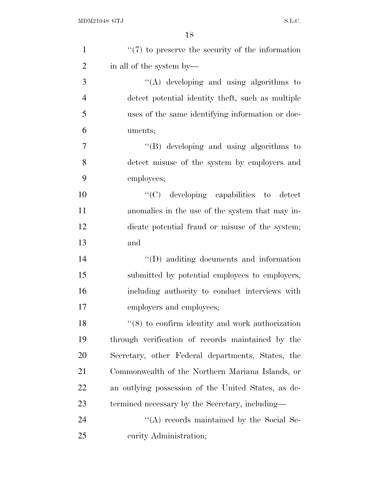| $\mathbf{1}$   | $\lq(7)$ to preserve the security of the information |
|----------------|------------------------------------------------------|
| $\overline{2}$ | in all of the system by—                             |
| 3              | "(A) developing and using algorithms to              |
| $\overline{4}$ | detect potential identity theft, such as multiple    |
| 5              | uses of the same identifying information or doc-     |
| 6              | uments;                                              |
| 7              | "(B) developing and using algorithms to              |
| 8              | detect misuse of the system by employers and         |
| 9              | employees;                                           |
| 10             | "(C) developing capabilities to detect               |
| 11             | anomalies in the use of the system that may in-      |
| 12             | dicate potential fraud or misuse of the system;      |
| 13             | and                                                  |
| 14             | $\lq\lq$ and information and information             |
| 15             | submitted by potential employees to employers,       |
| 16             | including authority to conduct interviews with       |
| 17             | employers and employees;                             |
| 18             | $\lq(8)$ to confirm identity and work authorization  |
| 19             | through verification of records maintained by the    |
| 20             | Secretary, other Federal departments, States, the    |
| 21             | Commonwealth of the Northern Mariana Islands, or     |
| 22             | an outlying possession of the United States, as de-  |
| 23             | termined necessary by the Secretary, including—      |
| 24             | "(A) records maintained by the Social Se-            |
| 25             | curity Administration;                               |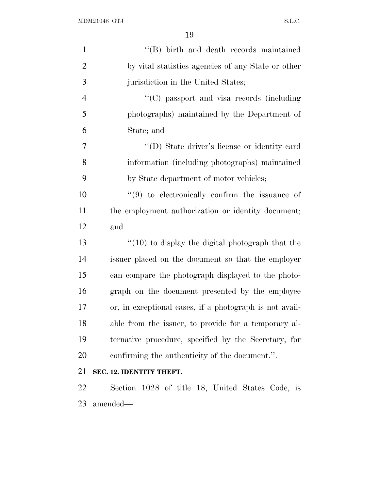| $\mathbf{1}$   | "(B) birth and death records maintained                 |
|----------------|---------------------------------------------------------|
| $\overline{2}$ | by vital statistics agencies of any State or other      |
| 3              | jurisdiction in the United States;                      |
| $\overline{4}$ | "(C) passport and visa records (including               |
| 5              | photographs) maintained by the Department of            |
| 6              | State; and                                              |
| 7              | "(D) State driver's license or identity card            |
| 8              | information (including photographs) maintained          |
| 9              | by State department of motor vehicles;                  |
| 10             | $(9)$ to electronically confirm the issuance of         |
| 11             | the employment authorization or identity document;      |
| 12             | and                                                     |
| 13             | $\lq(10)$ to display the digital photograph that the    |
| 14             | issuer placed on the document so that the employer      |
| 15             | can compare the photograph displayed to the photo-      |
| 16             | graph on the document presented by the employee         |
| 17             | or, in exceptional cases, if a photograph is not avail- |
| 18             | able from the issuer, to provide for a temporary al-    |
| 19             | ternative procedure, specified by the Secretary, for    |
| 20             | confirming the authenticity of the document.".          |
| 21             | SEC. 12. IDENTITY THEFT.                                |
| 22             | Section 1028 of title 18, United States Code, is        |
| 23             | amended—                                                |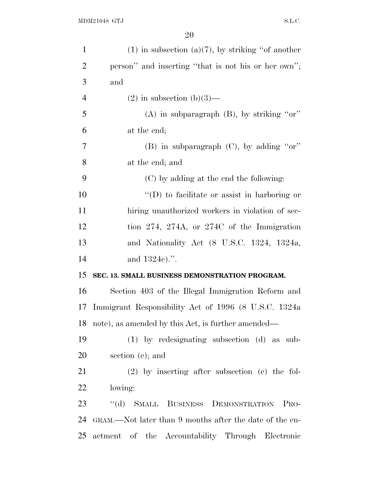| $\mathbf{1}$   | $(1)$ in subsection $(a)(7)$ , by striking "of another  |
|----------------|---------------------------------------------------------|
| $\overline{2}$ | person" and inserting "that is not his or her own";     |
| 3              | and                                                     |
| $\overline{4}$ | $(2)$ in subsection $(b)(3)$ —                          |
| 5              | $(A)$ in subparagraph $(B)$ , by striking "or"          |
| 6              | at the end;                                             |
| 7              | (B) in subparagraph (C), by adding "or"                 |
| 8              | at the end; and                                         |
| 9              | (C) by adding at the end the following:                 |
| 10             | $\lq\lq$ to facilitate or assist in harboring or        |
| 11             | hiring unauthorized workers in violation of sec-        |
| 12             | tion 274, 274A, or 274C of the Immigration              |
| 13             | and Nationality Act (8 U.S.C. 1324, 1324a,              |
| 14             | and 1324c).".                                           |
| 15             | SEC. 13. SMALL BUSINESS DEMONSTRATION PROGRAM.          |
| 16             | Section 403 of the Illegal Immigration Reform and       |
| 17             | Immigrant Responsibility Act of 1996 (8 U.S.C. 1324a)   |
| 18             | note), as amended by this Act, is further amended—      |
| 19             | $(1)$ by redesignating subsection $(d)$ as sub-         |
| <b>20</b>      | section (e); and                                        |
| 21             | $(2)$ by inserting after subsection $(c)$ the fol-      |
| 22             | lowing:                                                 |
| 23             | "(d) SMALL BUSINESS DEMONSTRATION<br>P <sub>RO</sub> -  |
| 24             | GRAM.—Not later than 9 months after the date of the en- |
| 25             | actment of the Accountability Through Electronic        |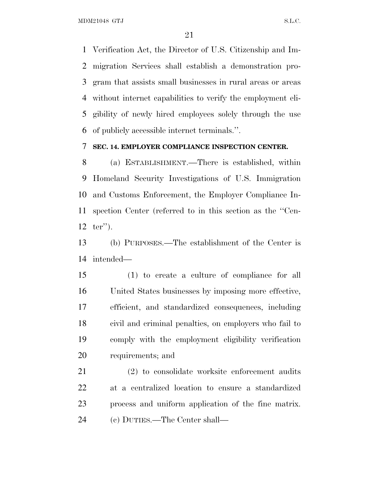MDM21048 GTJ S.L.C.

 Verification Act, the Director of U.S. Citizenship and Im- migration Services shall establish a demonstration pro- gram that assists small businesses in rural areas or areas without internet capabilities to verify the employment eli- gibility of newly hired employees solely through the use of publicly accessible internet terminals.''.

## **SEC. 14. EMPLOYER COMPLIANCE INSPECTION CENTER.**

 (a) ESTABLISHMENT.—There is established, within Homeland Security Investigations of U.S. Immigration and Customs Enforcement, the Employer Compliance In- spection Center (referred to in this section as the ''Cen-ter'').

 (b) PURPOSES.—The establishment of the Center is intended—

 (1) to create a culture of compliance for all United States businesses by imposing more effective, efficient, and standardized consequences, including civil and criminal penalties, on employers who fail to comply with the employment eligibility verification requirements; and

 (2) to consolidate worksite enforcement audits at a centralized location to ensure a standardized process and uniform application of the fine matrix. (c) DUTIES.—The Center shall—